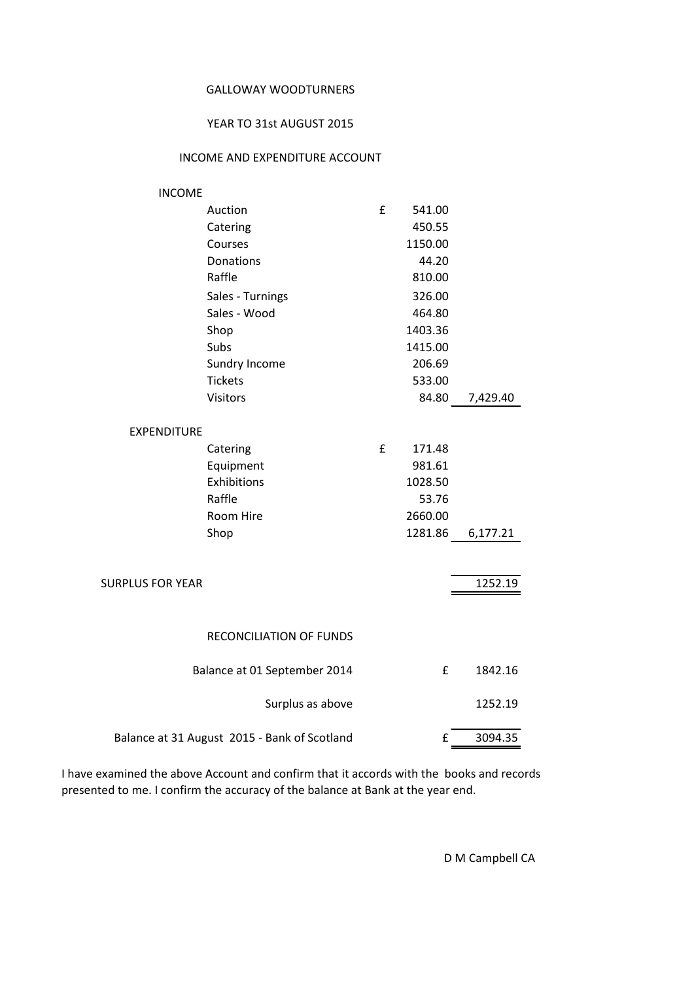## GALLOWAY WOODTURNERS

## YEAR TO 31st AUGUST 2015

## INCOME AND EXPENDITURE ACCOUNT

| <b>INCOME</b>           |                                              |   |         |          |
|-------------------------|----------------------------------------------|---|---------|----------|
|                         | Auction                                      | £ | 541.00  |          |
|                         | Catering                                     |   | 450.55  |          |
|                         | Courses                                      |   | 1150.00 |          |
|                         | Donations                                    |   | 44.20   |          |
|                         | Raffle                                       |   | 810.00  |          |
|                         | Sales - Turnings                             |   | 326.00  |          |
|                         | Sales - Wood                                 |   | 464.80  |          |
|                         | Shop                                         |   | 1403.36 |          |
|                         | Subs                                         |   | 1415.00 |          |
|                         | Sundry Income                                |   | 206.69  |          |
|                         | <b>Tickets</b>                               |   | 533.00  |          |
|                         | <b>Visitors</b>                              |   | 84.80   | 7,429.40 |
|                         |                                              |   |         |          |
| <b>EXPENDITURE</b>      |                                              |   |         |          |
|                         | Catering                                     | £ | 171.48  |          |
|                         | Equipment                                    |   | 981.61  |          |
|                         | Exhibitions                                  |   | 1028.50 |          |
|                         | Raffle                                       |   | 53.76   |          |
|                         | Room Hire                                    |   | 2660.00 |          |
|                         | Shop                                         |   | 1281.86 | 6,177.21 |
|                         |                                              |   |         |          |
| <b>SURPLUS FOR YEAR</b> |                                              |   |         | 1252.19  |
|                         |                                              |   |         |          |
|                         |                                              |   |         |          |
|                         | <b>RECONCILIATION OF FUNDS</b>               |   |         |          |
|                         | Balance at 01 September 2014                 |   | £       | 1842.16  |
|                         | Surplus as above                             |   |         | 1252.19  |
|                         | Balance at 31 August 2015 - Bank of Scotland |   | £       | 3094.35  |
|                         |                                              |   |         |          |

I have examined the above Account and confirm that it accords with the books and records presented to me. I confirm the accuracy of the balance at Bank at the year end.

D M Campbell CA